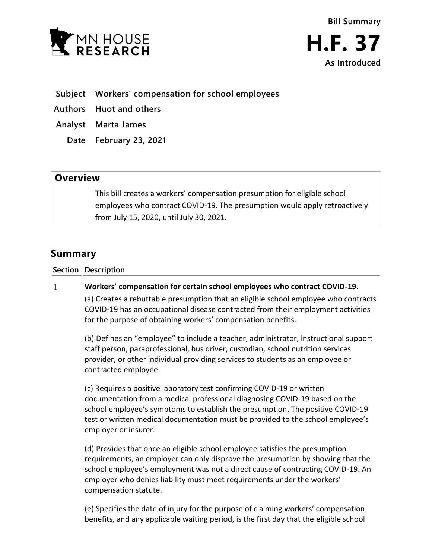



- **Subject Workers' compensation for school employees**
- **Authors Huot and others**
- **Analyst Marta James** 
	- **Date February 23, 2021**

## **Overview**

This bill creates a workers' compensation presumption for eligible school employees who contract COVID-19. The presumption would apply retroactively from July 15, 2020, until July 30, 2021.

# **Summary**

### **Section Description**

#### $\mathbf{1}$ **Workers' compensation for certain school employees who contract COVID-19.**

(a) Creates a rebuttable presumption that an eligible school employee who contracts COVID-19 has an occupational disease contracted from their employment activities for the purpose of obtaining workers' compensation benefits.

(b) Defines an "employee" to include a teacher, administrator, instructional support staff person, paraprofessional, bus driver, custodian, school nutrition services provider, or other individual providing services to students as an employee or contracted employee.

(c) Requires a positive laboratory test confirming COVID-19 or written documentation from a medical professional diagnosing COVID-19 based on the school employee's symptoms to establish the presumption. The positive COVID-19 test or written medical documentation must be provided to the school employee's employer or insurer.

(d) Provides that once an eligible school employee satisfies the presumption requirements, an employer can only disprove the presumption by showing that the school employee's employment was not a direct cause of contracting COVID-19. An employer who denies liability must meet requirements under the workers' compensation statute.

(e) Specifies the date of injury for the purpose of claiming workers' compensation benefits, and any applicable waiting period, is the first day that the eligible school